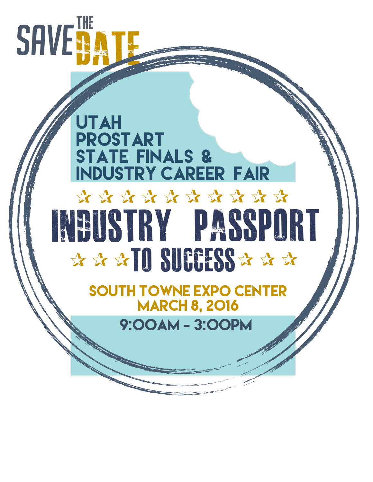# **SAVE BE BATE**

# Utah ProSTart STATE FINALS & Industry Career Fair Industry Passport TO SUCCESS ✰ ✰ ✰ ✰ ✰ ✰ ✰ ✰ ✰ ✰ ✰ ✰ ✰ ✰ ✰ ✰

South Towne Expo Center **MARCH 8, 2016** 

9:00am - 3:00pm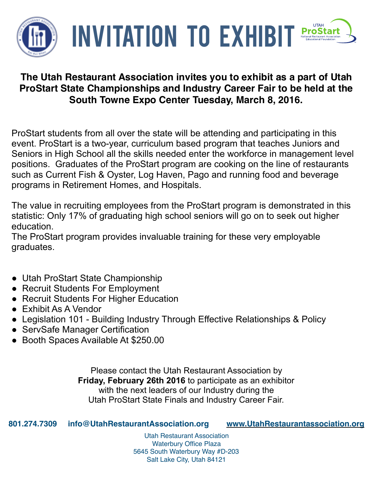

## **UTAH INVITATION TO EXHIBI ProStar**

## **The Utah Restaurant Association invites you to exhibit as a part of Utah ProStart State Championships and Industry Career Fair to be held at the South Towne Expo Center Tuesday, March 8, 2016.**

ProStart students from all over the state will be attending and participating in this event. ProStart is a two-year, curriculum based program that teaches Juniors and Seniors in High School all the skills needed enter the workforce in management level positions. Graduates of the ProStart program are cooking on the line of restaurants such as Current Fish & Oyster, Log Haven, Pago and running food and beverage programs in Retirement Homes, and Hospitals.

The value in recruiting employees from the ProStart program is demonstrated in this statistic: Only 17% of graduating high school seniors will go on to seek out higher education.

The ProStart program provides invaluable training for these very employable graduates.

- Utah ProStart State Championship
- Recruit Students For Employment
- Recruit Students For Higher Education
- Exhibit As A Vendor
- Legislation 101 Building Industry Through Effective Relationships & Policy
- ServSafe Manager Certification
- Booth Spaces Available At \$250.00

Please contact the Utah Restaurant Association by **Friday, February 26th 2016** to participate as an exhibitor with the next leaders of our Industry during the Utah ProStart State Finals and Industry Career Fair.

**801.274.7309 [info@UtahRestaurantAssociation.org](mailto:info@UtahRestaurantAssociation.org?subject=) [www.UtahRestaurantassociation.org](http://www.utahrestaurantassociation.org)**

Utah Restaurant Association Waterbury Office Plaza 5645 South Waterbury Way #D-203 Salt Lake City, Utah 84121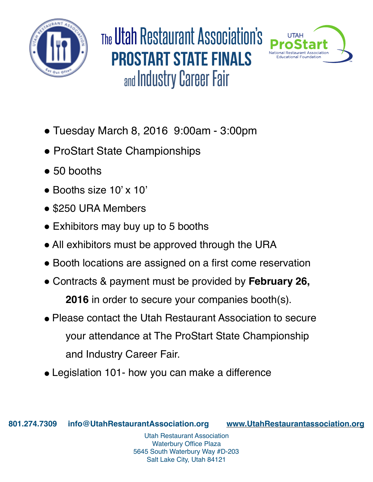

TheUtah Restaurant Association's prostart state finals and Industry Career Fair



- Tuesday March 8, 2016 9:00am 3:00pm
- ProStart State Championships
- $\bullet$  50 booths
- Booths size 10' x 10'
- \$250 URA Members
- Exhibitors may buy up to 5 booths
- All exhibitors must be approved through the URA
- Booth locations are assigned on a first come reservation
- " Contracts & payment must be provided by **February 26, 2016** in order to secure your companies booth(s).
- Please contact the Utah Restaurant Association to secure your attendance at The ProStart State Championship and Industry Career Fair.
- Legislation 101- how you can make a difference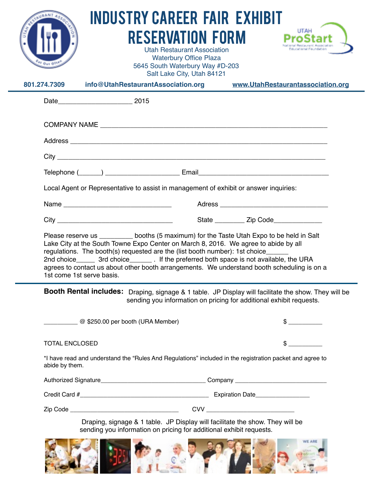| $\rm ^{47}$ Out Of<br>801.274.7309                                                                                                                                                                                                                                                                                                                                                                                                                                                                     | <b>INDUSTRY CAREER FAIR EXHIBIT</b><br><b>RESERVATION FORM</b><br><b>Utah Restaurant Association</b><br><b>Waterbury Office Plaza</b><br>5645 South Waterbury Way #D-203<br>Salt Lake City, Utah 84121<br>info@UtahRestaurantAssociation.org | <b>UTAH</b><br>Faluranski Faundatio<br>www.UtahRestaurantassociation.org |
|--------------------------------------------------------------------------------------------------------------------------------------------------------------------------------------------------------------------------------------------------------------------------------------------------------------------------------------------------------------------------------------------------------------------------------------------------------------------------------------------------------|----------------------------------------------------------------------------------------------------------------------------------------------------------------------------------------------------------------------------------------------|--------------------------------------------------------------------------|
|                                                                                                                                                                                                                                                                                                                                                                                                                                                                                                        |                                                                                                                                                                                                                                              |                                                                          |
|                                                                                                                                                                                                                                                                                                                                                                                                                                                                                                        |                                                                                                                                                                                                                                              |                                                                          |
|                                                                                                                                                                                                                                                                                                                                                                                                                                                                                                        |                                                                                                                                                                                                                                              |                                                                          |
|                                                                                                                                                                                                                                                                                                                                                                                                                                                                                                        |                                                                                                                                                                                                                                              |                                                                          |
| Local Agent or Representative to assist in management of exhibit or answer inquiries:                                                                                                                                                                                                                                                                                                                                                                                                                  |                                                                                                                                                                                                                                              |                                                                          |
|                                                                                                                                                                                                                                                                                                                                                                                                                                                                                                        | Name                                                                                                                                                                                                                                         |                                                                          |
|                                                                                                                                                                                                                                                                                                                                                                                                                                                                                                        |                                                                                                                                                                                                                                              | State ____________ Zip Code_______________                               |
| Please reserve us _________ booths (5 maximum) for the Taste Utah Expo to be held in Salt<br>Lake City at the South Towne Expo Center on March 8, 2016. We agree to abide by all<br>regulations. The booth(s) requested are the (list booth number): 1st choice_____<br>2nd choice _________ 3rd choice ___________. If the preferred both space is not available, the URA<br>agrees to contact us about other booth arrangements. We understand booth scheduling is on a<br>1st come 1st serve basis. |                                                                                                                                                                                                                                              |                                                                          |
|                                                                                                                                                                                                                                                                                                                                                                                                                                                                                                        | Booth Rental includes: Draping, signage & 1 table. JP Display will facilitate the show. They will be                                                                                                                                         | sending you information on pricing for additional exhibit requests.      |
|                                                                                                                                                                                                                                                                                                                                                                                                                                                                                                        | $\frac{1}{2}$ $\infty$ \$250.00 per booth (URA Member)                                                                                                                                                                                       | $\sim$                                                                   |
| <b>TOTAL ENCLOSED</b>                                                                                                                                                                                                                                                                                                                                                                                                                                                                                  |                                                                                                                                                                                                                                              | \$                                                                       |
| *I have read and understand the "Rules And Regulations" included in the registration packet and agree to<br>abide by them.                                                                                                                                                                                                                                                                                                                                                                             |                                                                                                                                                                                                                                              |                                                                          |
|                                                                                                                                                                                                                                                                                                                                                                                                                                                                                                        |                                                                                                                                                                                                                                              |                                                                          |
|                                                                                                                                                                                                                                                                                                                                                                                                                                                                                                        |                                                                                                                                                                                                                                              |                                                                          |
|                                                                                                                                                                                                                                                                                                                                                                                                                                                                                                        |                                                                                                                                                                                                                                              |                                                                          |
| Draping, signage & 1 table. JP Display will facilitate the show. They will be<br>sending you information on pricing for additional exhibit requests.                                                                                                                                                                                                                                                                                                                                                   |                                                                                                                                                                                                                                              |                                                                          |
|                                                                                                                                                                                                                                                                                                                                                                                                                                                                                                        |                                                                                                                                                                                                                                              |                                                                          |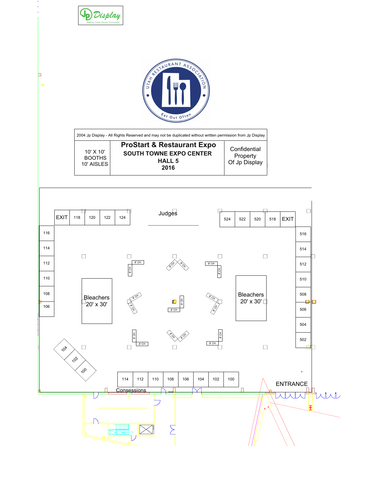

Ы

 $\mathbb H$ 



**Confidential** Property Of Jp Display 2004 Jp Display - All Rights Reserved and may not be duplicated without written permission from Jp Display 10' X 10' BOOTHS 10' AISLES ProStart & Restaurant Expo SOUTH TOWNE EXPO CENTER HALL 5 2016